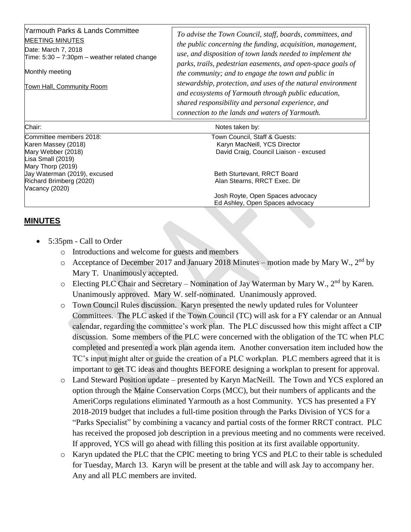| Yarmouth Parks & Lands Committee<br><b>MEETING MINUTES</b><br>Date: March 7, 2018<br>Time: $5:30 - 7:30$ pm – weather related change<br>Monthly meeting<br>Town Hall, Community Room | To advise the Town Council, staff, boards, committees, and<br>the public concerning the funding, acquisition, management,<br>use, and disposition of town lands needed to implement the<br>parks, trails, pedestrian easements, and open-space goals of<br>the community; and to engage the town and public in<br>stewardship, protection, and uses of the natural environment<br>and ecosystems of Yarmouth through public education,<br>shared responsibility and personal experience, and<br>connection to the lands and waters of Yarmouth. |
|--------------------------------------------------------------------------------------------------------------------------------------------------------------------------------------|-------------------------------------------------------------------------------------------------------------------------------------------------------------------------------------------------------------------------------------------------------------------------------------------------------------------------------------------------------------------------------------------------------------------------------------------------------------------------------------------------------------------------------------------------|
|--------------------------------------------------------------------------------------------------------------------------------------------------------------------------------------|-------------------------------------------------------------------------------------------------------------------------------------------------------------------------------------------------------------------------------------------------------------------------------------------------------------------------------------------------------------------------------------------------------------------------------------------------------------------------------------------------------------------------------------------------|

Chair: Notes taken by: Committee members 2018: Town Council, Staff & Guests: Karyn MacNeill, YCS Director Mary Webber (2018) David Craig, Council Liaison - excused Lisa Small (2019) Mary Thorp (2019) Jay Waterman (2019), excused **Beth Sturtevant, RRCT Board** Beth Sturtevant, RRCT Board Richard Brimberg (2020) Alan Stearns, RRCT Exec. Dir Vacancy (2020) Josh Royte, Open Spaces advocacy Ed Ashley, Open Spaces advocacy

## **MINUTES**

- 5:35pm Call to Order
	- o Introductions and welcome for guests and members
	- $\circ$  Acceptance of December 2017 and January 2018 Minutes motion made by Mary W., 2<sup>nd</sup> by Mary T. Unanimously accepted.
	- $\circ$  Electing PLC Chair and Secretary Nomination of Jay Waterman by Mary W., 2<sup>nd</sup> by Karen. Unanimously approved. Mary W. self-nominated. Unanimously approved.
	- o Town Council Rules discussion. Karyn presented the newly updated rules for Volunteer Committees. The PLC asked if the Town Council (TC) will ask for a FY calendar or an Annual calendar, regarding the committee's work plan. The PLC discussed how this might affect a CIP discussion. Some members of the PLC were concerned with the obligation of the TC when PLC completed and presented a work plan agenda item. Another conversation item included how the TC's input might alter or guide the creation of a PLC workplan. PLC members agreed that it is important to get TC ideas and thoughts BEFORE designing a workplan to present for approval.
	- o Land Steward Position update presented by Karyn MacNeill. The Town and YCS explored an option through the Maine Conservation Corps (MCC), but their numbers of applicants and the AmeriCorps regulations eliminated Yarmouth as a host Community. YCS has presented a FY 2018-2019 budget that includes a full-time position through the Parks Division of YCS for a "Parks Specialist" by combining a vacancy and partial costs of the former RRCT contract. PLC has received the proposed job description in a previous meeting and no comments were received. If approved, YCS will go ahead with filling this position at its first available opportunity.
	- o Karyn updated the PLC that the CPIC meeting to bring YCS and PLC to their table is scheduled for Tuesday, March 13. Karyn will be present at the table and will ask Jay to accompany her. Any and all PLC members are invited.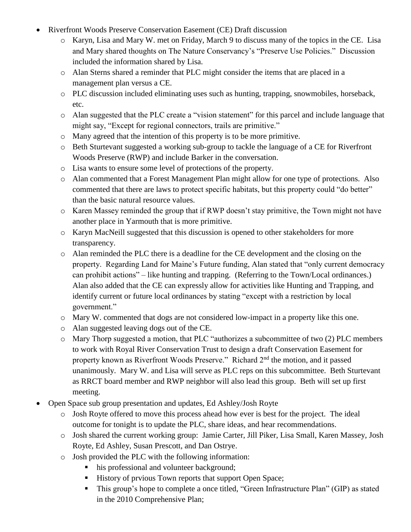- Riverfront Woods Preserve Conservation Easement (CE) Draft discussion
	- o Karyn, Lisa and Mary W. met on Friday, March 9 to discuss many of the topics in the CE. Lisa and Mary shared thoughts on The Nature Conservancy's "Preserve Use Policies." Discussion included the information shared by Lisa.
	- o Alan Sterns shared a reminder that PLC might consider the items that are placed in a management plan versus a CE.
	- o PLC discussion included eliminating uses such as hunting, trapping, snowmobiles, horseback, etc.
	- o Alan suggested that the PLC create a "vision statement" for this parcel and include language that might say, "Except for regional connectors, trails are primitive."
	- o Many agreed that the intention of this property is to be more primitive.
	- o Beth Sturtevant suggested a working sub-group to tackle the language of a CE for Riverfront Woods Preserve (RWP) and include Barker in the conversation.
	- o Lisa wants to ensure some level of protections of the property.
	- o Alan commented that a Forest Management Plan might allow for one type of protections. Also commented that there are laws to protect specific habitats, but this property could "do better" than the basic natural resource values.
	- o Karen Massey reminded the group that if RWP doesn't stay primitive, the Town might not have another place in Yarmouth that is more primitive.
	- o Karyn MacNeill suggested that this discussion is opened to other stakeholders for more transparency.
	- o Alan reminded the PLC there is a deadline for the CE development and the closing on the property. Regarding Land for Maine's Future funding, Alan stated that "only current democracy can prohibit actions" – like hunting and trapping. (Referring to the Town/Local ordinances.) Alan also added that the CE can expressly allow for activities like Hunting and Trapping, and identify current or future local ordinances by stating "except with a restriction by local government."
	- o Mary W. commented that dogs are not considered low-impact in a property like this one.
	- o Alan suggested leaving dogs out of the CE.
	- o Mary Thorp suggested a motion, that PLC "authorizes a subcommittee of two (2) PLC members to work with Royal River Conservation Trust to design a draft Conservation Easement for property known as Riverfront Woods Preserve." Richard 2nd the motion, and it passed unanimously. Mary W. and Lisa will serve as PLC reps on this subcommittee. Beth Sturtevant as RRCT board member and RWP neighbor will also lead this group. Beth will set up first meeting.
- Open Space sub group presentation and updates, Ed Ashley/Josh Royte
	- o Josh Royte offered to move this process ahead how ever is best for the project. The ideal outcome for tonight is to update the PLC, share ideas, and hear recommendations.
	- o Josh shared the current working group: Jamie Carter, Jill Piker, Lisa Small, Karen Massey, Josh Royte, Ed Ashley, Susan Prescott, and Dan Ostrye.
	- o Josh provided the PLC with the following information:
		- his professional and volunteer background;
		- History of prvious Town reports that support Open Space;
		- This group's hope to complete a once titled, "Green Infrastructure Plan" (GIP) as stated in the 2010 Comprehensive Plan;